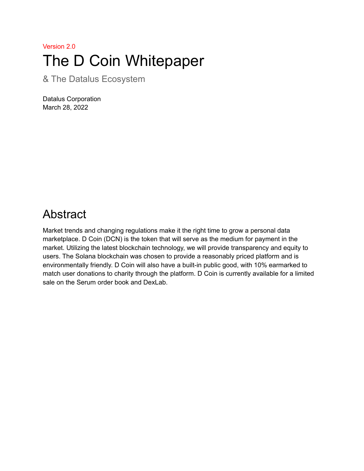# Version 2.0 The D Coin Whitepaper

& The Datalus Ecosystem

Datalus Corporation March 28, 2022

## <span id="page-0-0"></span>Abstract

Market trends and changing regulations make it the right time to grow a personal data marketplace. D Coin (DCN) is the token that will serve as the medium for payment in the market. Utilizing the latest blockchain technology, we will provide transparency and equity to users. The Solana blockchain was chosen to provide a reasonably priced platform and is environmentally friendly. D Coin will also have a built-in public good, with 10% earmarked to match user donations to charity through the platform. D Coin is currently available for a limited sale on the Serum order book and DexLab.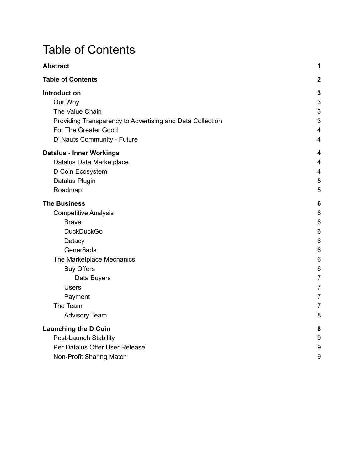# <span id="page-1-0"></span>Table of Contents

| <b>Abstract</b>                                           | 1                       |
|-----------------------------------------------------------|-------------------------|
| <b>Table of Contents</b>                                  | $\overline{2}$          |
| <b>Introduction</b>                                       | 3                       |
| Our Why                                                   | $\mathsf 3$             |
| The Value Chain                                           | 3                       |
| Providing Transparency to Advertising and Data Collection | 3                       |
| For The Greater Good                                      | $\overline{4}$          |
| D' Nauts Community - Future                               | $\overline{4}$          |
| <b>Datalus - Inner Workings</b>                           | 4                       |
| Datalus Data Marketplace                                  | $\overline{\mathbf{4}}$ |
| D Coin Ecosystem                                          | $\overline{4}$          |
| Datalus Plugin                                            | 5                       |
| Roadmap                                                   | 5                       |
| <b>The Business</b>                                       | 6                       |
| <b>Competitive Analysis</b>                               | 6                       |
| <b>Brave</b>                                              | 6                       |
| <b>DuckDuckGo</b>                                         | 6                       |
| Datacy                                                    | 6                       |
| Gener <sub>8ads</sub>                                     | 6                       |
| The Marketplace Mechanics                                 | 6                       |
| <b>Buy Offers</b>                                         | 6                       |
| Data Buyers                                               | $\overline{7}$          |
| <b>Users</b>                                              | $\overline{7}$          |
| Payment                                                   | $\overline{7}$          |
| The Team                                                  | $\overline{7}$          |
| <b>Advisory Team</b>                                      | 8                       |
| <b>Launching the D Coin</b>                               | 8                       |
| Post-Launch Stability                                     | 9                       |
| Per Datalus Offer User Release                            | 9                       |
| Non-Profit Sharing Match                                  | 9                       |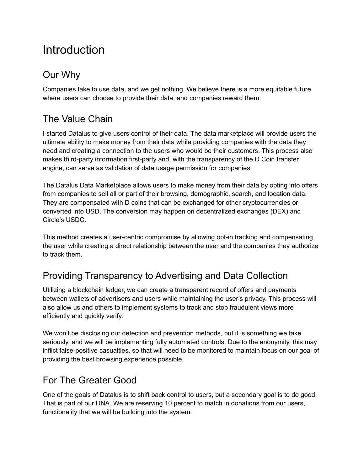# <span id="page-2-0"></span>**Introduction**

## <span id="page-2-1"></span>Our Why

Companies take to use data, and we get nothing. We believe there is a more equitable future where users can choose to provide their data, and companies reward them.

## <span id="page-2-2"></span>The Value Chain

I started Datalus to give users control of their data. The data marketplace will provide users the ultimate ability to make money from their data while providing companies with the data they need and creating a connection to the users who would be their customers. This process also makes third-party information first-party and, with the transparency of the D Coin transfer engine, can serve as validation of data usage permission for companies.

The Datalus Data Marketplace allows users to make money from their data by opting into offers from companies to sell all or part of their browsing, demographic, search, and location data. They are compensated with D coins that can be exchanged for other cryptocurrencies or converted into USD. The conversion may happen on decentralized exchanges (DEX) and Circle's USDC.

This method creates a user-centric compromise by allowing opt-in tracking and compensating the user while creating a direct relationship between the user and the companies they authorize to track them.

## <span id="page-2-3"></span>Providing Transparency to Advertising and Data Collection

Utilizing a blockchain ledger, we can create a transparent record of offers and payments between wallets of advertisers and users while maintaining the user's privacy. This process will also allow us and others to implement systems to track and stop fraudulent views more efficiently and quickly verify.

We won't be disclosing our detection and prevention methods, but it is something we take seriously, and we will be implementing fully automated controls. Due to the anonymity, this may inflict false-positive casualties, so that will need to be monitored to maintain focus on our goal of providing the best browsing experience possible.

## <span id="page-2-4"></span>For The Greater Good

One of the goals of Datalus is to shift back control to users, but a secondary goal is to do good. That is part of our DNA. We are reserving 10 percent to match in donations from our users, functionality that we will be building into the system.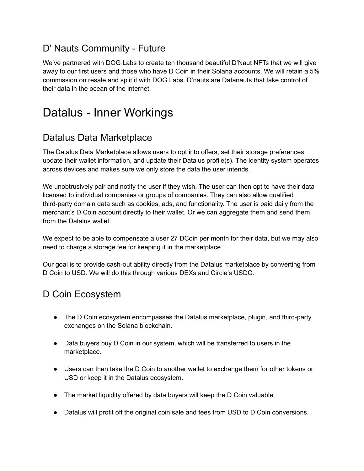## <span id="page-3-0"></span>D' Nauts Community - Future

We've partnered with DOG Labs to create ten thousand beautiful D'Naut NFTs that we will give away to our first users and those who have D Coin in their Solana accounts. We will retain a 5% commission on resale and split it with DOG Labs. D'nauts are Datanauts that take control of their data in the ocean of the internet.

# <span id="page-3-1"></span>Datalus - Inner Workings

### <span id="page-3-2"></span>Datalus Data Marketplace

The Datalus Data Marketplace allows users to opt into offers, set their storage preferences, update their wallet information, and update their Datalus profile(s). The identity system operates across devices and makes sure we only store the data the user intends.

We unobtrusively pair and notify the user if they wish. The user can then opt to have their data licensed to individual companies or groups of companies. They can also allow qualified third-party domain data such as cookies, ads, and functionality. The user is paid daily from the merchant's D Coin account directly to their wallet. Or we can aggregate them and send them from the Datalus wallet.

We expect to be able to compensate a user 27 DCoin per month for their data, but we may also need to charge a storage fee for keeping it in the marketplace.

Our goal is to provide cash-out ability directly from the Datalus marketplace by converting from D Coin to USD. We will do this through various DEXs and Circle's USDC.

## <span id="page-3-3"></span>D Coin Ecosystem

- The D Coin ecosystem encompasses the Datalus marketplace, plugin, and third-party exchanges on the Solana blockchain.
- Data buyers buy D Coin in our system, which will be transferred to users in the marketplace.
- Users can then take the D Coin to another wallet to exchange them for other tokens or USD or keep it in the Datalus ecosystem.
- The market liquidity offered by data buyers will keep the D Coin valuable.
- Datalus will profit off the original coin sale and fees from USD to D Coin conversions.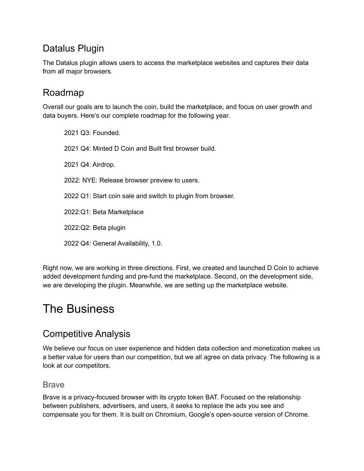## <span id="page-4-0"></span>Datalus Plugin

The Datalus plugin allows users to access the marketplace websites and captures their data from all major browsers.

## <span id="page-4-1"></span>Roadmap

Overall our goals are to launch the coin, build the marketplace, and focus on user growth and data buyers. Here's our complete roadmap for the following year.

2021 Q3: Founded. 2021 Q4: Minted D Coin and Built first browser build. 2021 Q4: Airdrop. 2022: NYE: Release browser preview to users. 2022 Q1: Start coin sale and switch to plugin from browser. 2022:Q1: Beta Marketplace 2022:Q2: Beta plugin

2022 Q4: General Availability, 1.0.

Right now, we are working in three directions. First, we created and launched D Coin to achieve added development funding and pre-fund the marketplace. Second, on the development side, we are developing the plugin. Meanwhile, we are setting up the marketplace website.

# <span id="page-4-2"></span>The Business

## <span id="page-4-3"></span>Competitive Analysis

We believe our focus on user experience and hidden data collection and monetization makes us a better value for users than our competition, but we all agree on data privacy. The following is a look at our competitors.

#### <span id="page-4-4"></span>Brave

Brave is a privacy-focused browser with its crypto token BAT. Focused on the relationship between publishers, advertisers, and users, it seeks to replace the ads you see and compensate you for them. It is built on Chromium, Google's open-source version of Chrome.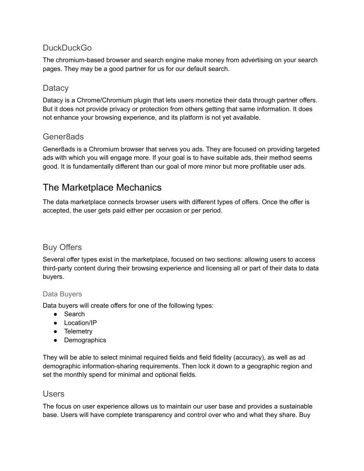#### <span id="page-5-0"></span>**DuckDuckGo**

The chromium-based browser and search engine make money from advertising on your search pages. They may be a good partner for us for our default search.

#### <span id="page-5-1"></span>**Datacy**

Datacy is a Chrome/Chromium plugin that lets users monetize their data through partner offers. But it does not provide privacy or protection from others getting that same information. It does not enhance your browsing experience, and its platform is not yet available.

#### <span id="page-5-2"></span>Gener8ads

Gener8ads is a Chromium browser that serves you ads. They are focused on providing targeted ads with which you will engage more. If your goal is to have suitable ads, their method seems good. It is fundamentally different than our goal of more minor but more profitable user ads.

### <span id="page-5-3"></span>The Marketplace Mechanics

The data marketplace connects browser users with different types of offers. Once the offer is accepted, the user gets paid either per occasion or per period.

#### <span id="page-5-4"></span>Buy Offers

Several offer types exist in the marketplace, focused on two sections: allowing users to access third-party content during their browsing experience and licensing all or part of their data to data buyers.

#### <span id="page-5-5"></span>Data Buyers

Data buyers will create offers for one of the following types:

- Search
- Location/IP
- Telemetry
- Demographics

They will be able to select minimal required fields and field fidelity (accuracy), as well as ad demographic information-sharing requirements. Then lock it down to a geographic region and set the monthly spend for minimal and optional fields.

#### <span id="page-5-6"></span>Users

The focus on user experience allows us to maintain our user base and provides a sustainable base. Users will have complete transparency and control over who and what they share. Buy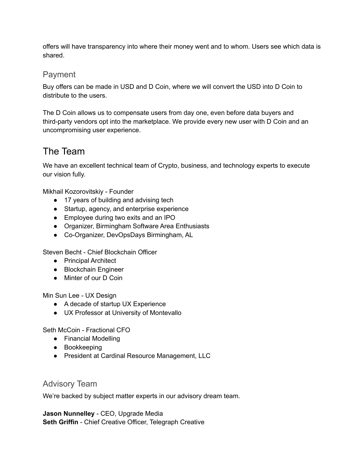offers will have transparency into where their money went and to whom. Users see which data is shared.

#### <span id="page-6-0"></span>Payment

Buy offers can be made in USD and D Coin, where we will convert the USD into D Coin to distribute to the users.

The D Coin allows us to compensate users from day one, even before data buyers and third-party vendors opt into the marketplace. We provide every new user with D Coin and an uncompromising user experience.

### <span id="page-6-1"></span>The Team

We have an excellent technical team of Crypto, business, and technology experts to execute our vision fully.

Mikhail Kozorovitskiy - Founder

- 17 years of building and advising tech
- Startup, agency, and enterprise experience
- Employee during two exits and an IPO
- Organizer, Birmingham Software Area Enthusiasts
- Co-Organizer, DevOpsDays Birmingham, AL

Steven Becht - Chief Blockchain Officer

- Principal Architect
- Blockchain Engineer
- Minter of our D Coin

Min Sun Lee - UX Design

- A decade of startup UX Experience
- UX Professor at University of Montevallo

Seth McCoin - Fractional CFO

- Financial Modelling
- Bookkeeping
- President at Cardinal Resource Management, LLC

#### <span id="page-6-2"></span>Advisory Team

We're backed by subject matter experts in our advisory dream team.

**Jason Nunnelley** - CEO, Upgrade Media **Seth Griffin** - Chief Creative Officer, Telegraph Creative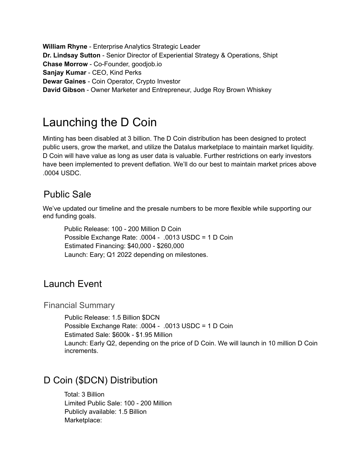**William Rhyne** - Enterprise Analytics Strategic Leader **Dr. Lindsay Sutton** - Senior Director of Experiential Strategy & Operations, Shipt **Chase Morrow** - Co-Founder, goodjob.io **Sanjay Kumar** - CEO, Kind Perks **Dewar Gaines** - Coin Operator, Crypto Investor **David Gibson** - Owner Marketer and Entrepreneur, Judge Roy Brown Whiskey

# <span id="page-7-0"></span>Launching the D Coin

Minting has been disabled at 3 billion. The D Coin distribution has been designed to protect public users, grow the market, and utilize the Datalus marketplace to maintain market liquidity. D Coin will have value as long as user data is valuable. Further restrictions on early investors have been implemented to prevent deflation. We'll do our best to maintain market prices above .0004 USDC.

## Public Sale

We've updated our timeline and the presale numbers to be more flexible while supporting our end funding goals.

Public Release: 100 - 200 Million D Coin Possible Exchange Rate: .0004 - .0013 USDC = 1 D Coin Estimated Financing: \$40,000 - \$260,000 Launch: Eary; Q1 2022 depending on milestones.

### Launch Event

Financial Summary

Public Release: 1.5 Billion \$DCN Possible Exchange Rate: .0004 - .0013 USDC = 1 D Coin Estimated Sale: \$600k - \$1.95 Million Launch: Early Q2, depending on the price of D Coin. We will launch in 10 million D Coin increments.

## D Coin (\$DCN) Distribution

Total: 3 Billion Limited Public Sale: 100 - 200 Million Publicly available: 1.5 Billion Marketplace: